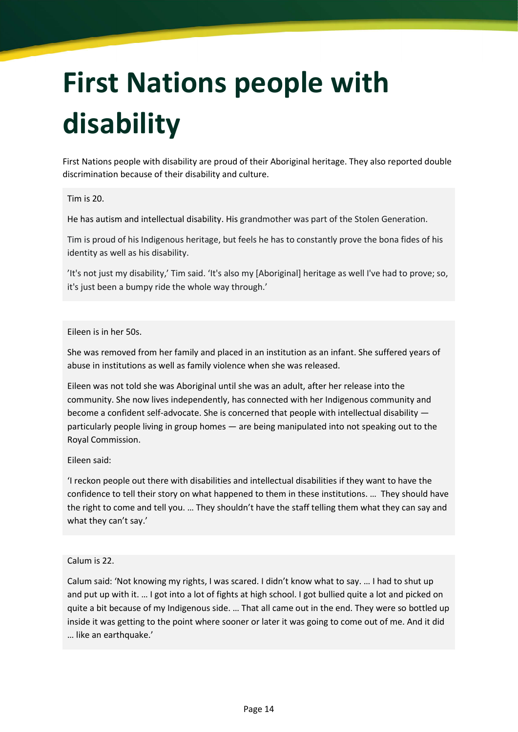## First Nations people with disability

First Nations people with disability are proud of their Aboriginal heritage. They also reported double discrimination because of their disability and culture.

## Tim is 20.

He has autism and intellectual disability. His grandmother was part of the Stolen Generation.

Tim is proud of his Indigenous heritage, but feels he has to constantly prove the bona fides of his identity as well as his disability.

'It's not just my disability,' Tim said. 'It's also my [Aboriginal] heritage as well I've had to prove; so, it's just been a bumpy ride the whole way through.'

Eileen is in her 50s.

She was removed from her family and placed in an institution as an infant. She suffered years of abuse in institutions as well as family violence when she was released.

Eileen was not told she was Aboriginal until she was an adult, after her release into the community. She now lives independently, has connected with her Indigenous community and become a confident self-advocate. She is concerned that people with intellectual disability particularly people living in group homes — are being manipulated into not speaking out to the Royal Commission.

Eileen said:

'I reckon people out there with disabilities and intellectual disabilities if they want to have the confidence to tell their story on what happened to them in these institutions. … They should have the right to come and tell you. … They shouldn't have the staff telling them what they can say and what they can't say.'

## Calum is 22.

Calum said: 'Not knowing my rights, I was scared. I didn't know what to say. … I had to shut up and put up with it. … I got into a lot of fights at high school. I got bullied quite a lot and picked on quite a bit because of my Indigenous side. … That all came out in the end. They were so bottled up inside it was getting to the point where sooner or later it was going to come out of me. And it did … like an earthquake.'